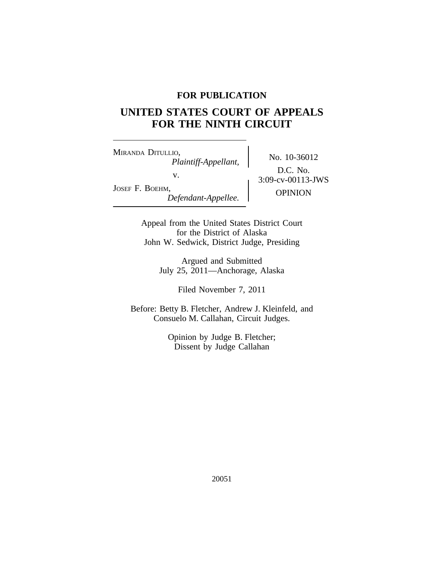# **FOR PUBLICATION**

# **UNITED STATES COURT OF APPEALS FOR THE NINTH CIRCUIT**

<sup>M</sup>IRANDA DITULLIO, No. 10-36012 *Plaintiff-Appellant,* v.  $3:09-cv-00113-JWS$ JOSEF F. BOEHM, <sup>1,</sup> *Defendant-Appellee.* **COPINION** 

D.C. No.

Appeal from the United States District Court for the District of Alaska John W. Sedwick, District Judge, Presiding

> Argued and Submitted July 25, 2011—Anchorage, Alaska

> > Filed November 7, 2011

Before: Betty B. Fletcher, Andrew J. Kleinfeld, and Consuelo M. Callahan, Circuit Judges.

> Opinion by Judge B. Fletcher; Dissent by Judge Callahan

> > 20051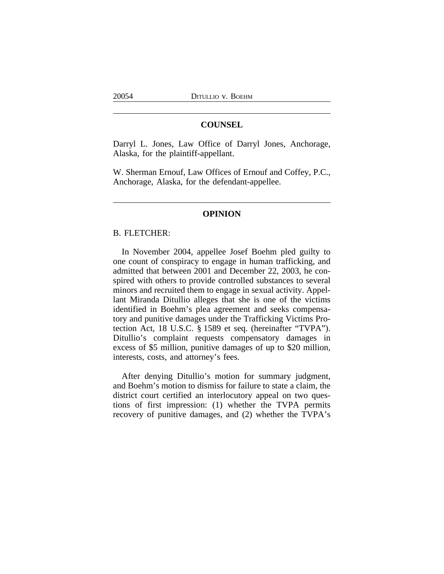# **COUNSEL**

Darryl L. Jones, Law Office of Darryl Jones, Anchorage, Alaska, for the plaintiff-appellant.

W. Sherman Ernouf, Law Offices of Ernouf and Coffey, P.C., Anchorage, Alaska, for the defendant-appellee.

#### **OPINION**

## B. FLETCHER:

In November 2004, appellee Josef Boehm pled guilty to one count of conspiracy to engage in human trafficking, and admitted that between 2001 and December 22, 2003, he conspired with others to provide controlled substances to several minors and recruited them to engage in sexual activity. Appellant Miranda Ditullio alleges that she is one of the victims identified in Boehm's plea agreement and seeks compensatory and punitive damages under the Trafficking Victims Protection Act, 18 U.S.C. § 1589 et seq. (hereinafter "TVPA"). Ditullio's complaint requests compensatory damages in excess of \$5 million, punitive damages of up to \$20 million, interests, costs, and attorney's fees.

After denying Ditullio's motion for summary judgment, and Boehm's motion to dismiss for failure to state a claim, the district court certified an interlocutory appeal on two questions of first impression: (1) whether the TVPA permits recovery of punitive damages, and (2) whether the TVPA's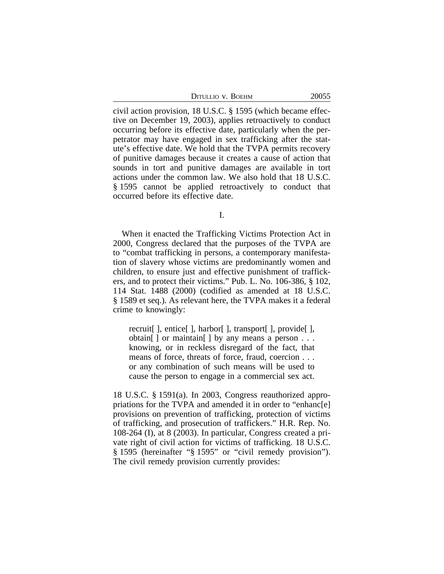| Ditullio v. Boehm | 20055 |
|-------------------|-------|
|-------------------|-------|

civil action provision, 18 U.S.C. § 1595 (which became effective on December 19, 2003), applies retroactively to conduct occurring before its effective date, particularly when the perpetrator may have engaged in sex trafficking after the statute's effective date. We hold that the TVPA permits recovery of punitive damages because it creates a cause of action that sounds in tort and punitive damages are available in tort actions under the common law. We also hold that 18 U.S.C. § 1595 cannot be applied retroactively to conduct that occurred before its effective date.

I.

When it enacted the Trafficking Victims Protection Act in 2000, Congress declared that the purposes of the TVPA are to "combat trafficking in persons, a contemporary manifestation of slavery whose victims are predominantly women and children, to ensure just and effective punishment of traffickers, and to protect their victims." Pub. L. No. 106-386, § 102, 114 Stat. 1488 (2000) (codified as amended at 18 U.S.C. § 1589 et seq.). As relevant here, the TVPA makes it a federal crime to knowingly:

recruit[ ], entice[ ], harbor[ ], transport[ ], provide[ ], obtain $[ \ ]$  or maintain $[ \ ]$  by any means a person ... knowing, or in reckless disregard of the fact, that means of force, threats of force, fraud, coercion . . . or any combination of such means will be used to cause the person to engage in a commercial sex act.

18 U.S.C. § 1591(a). In 2003, Congress reauthorized appropriations for the TVPA and amended it in order to "enhanc[e] provisions on prevention of trafficking, protection of victims of trafficking, and prosecution of traffickers." H.R. Rep. No. 108-264 (I), at 8 (2003). In particular, Congress created a private right of civil action for victims of trafficking. 18 U.S.C. § 1595 (hereinafter "§ 1595" or "civil remedy provision"). The civil remedy provision currently provides: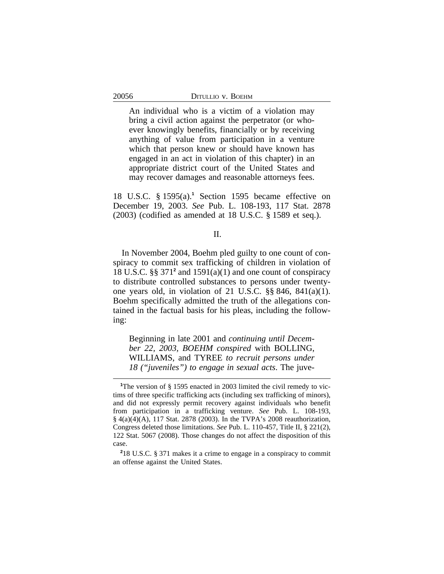An individual who is a victim of a violation may bring a civil action against the perpetrator (or whoever knowingly benefits, financially or by receiving anything of value from participation in a venture which that person knew or should have known has engaged in an act in violation of this chapter) in an appropriate district court of the United States and may recover damages and reasonable attorneys fees.

18 U.S.C. § 1595(a).<sup>1</sup> Section 1595 became effective on December 19, 2003. *See* Pub. L. 108-193, 117 Stat. 2878 (2003) (codified as amended at 18 U.S.C. § 1589 et seq.).

#### II.

In November 2004, Boehm pled guilty to one count of conspiracy to commit sex trafficking of children in violation of 18 U.S.C. §§ 371**<sup>2</sup>** and 1591(a)(1) and one count of conspiracy to distribute controlled substances to persons under twentyone years old, in violation of 21 U.S.C. §§ 846, 841(a)(1). Boehm specifically admitted the truth of the allegations contained in the factual basis for his pleas, including the following:

Beginning in late 2001 and *continuing until December 22, 2003, BOEHM conspired* with BOLLING, WILLIAMS, and TYREE *to recruit persons under 18 ("juveniles") to engage in sexual acts*. The juve-

<sup>&</sup>lt;sup>1</sup>The version of § 1595 enacted in 2003 limited the civil remedy to victims of three specific trafficking acts (including sex trafficking of minors), and did not expressly permit recovery against individuals who benefit from participation in a trafficking venture. *See* Pub. L. 108-193, § 4(a)(4)(A), 117 Stat. 2878 (2003). In the TVPA's 2008 reauthorization, Congress deleted those limitations. *See* Pub. L. 110-457, Title II, § 221(2), 122 Stat. 5067 (2008). Those changes do not affect the disposition of this case.

**<sup>2</sup>** 18 U.S.C. § 371 makes it a crime to engage in a conspiracy to commit an offense against the United States.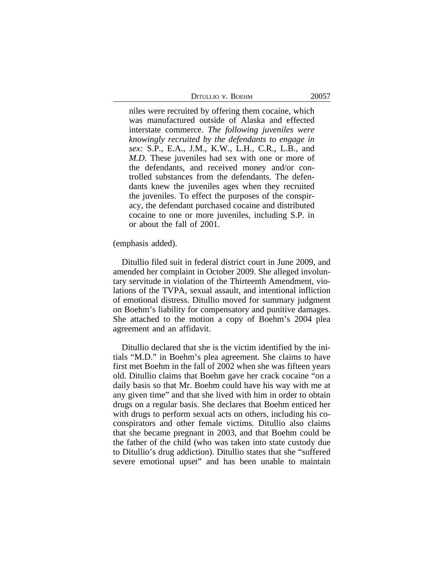| Ditullio v. Boehm |  |  |
|-------------------|--|--|
|-------------------|--|--|

niles were recruited by offering them cocaine*,* which was manufactured outside of Alaska and effected interstate commerce. *The following juveniles were knowingly recruited by the defendants to engage in sex:* S.P., E.A., J.M., K.W., L.H., C.R., L.B., and *M.D.* These juveniles had sex with one or more of the defendants, and received money and/or controlled substances from the defendants. The defendants knew the juveniles ages when they recruited the juveniles. To effect the purposes of the conspiracy, the defendant purchased cocaine and distributed cocaine to one or more juveniles, including S.P. in or about the fall of 2001.

(emphasis added).

Ditullio filed suit in federal district court in June 2009, and amended her complaint in October 2009. She alleged involuntary servitude in violation of the Thirteenth Amendment, violations of the TVPA, sexual assault, and intentional infliction of emotional distress. Ditullio moved for summary judgment on Boehm's liability for compensatory and punitive damages. She attached to the motion a copy of Boehm's 2004 plea agreement and an affidavit.

Ditullio declared that she is the victim identified by the initials "M.D." in Boehm's plea agreement. She claims to have first met Boehm in the fall of 2002 when she was fifteen years old. Ditullio claims that Boehm gave her crack cocaine "on a daily basis so that Mr. Boehm could have his way with me at any given time" and that she lived with him in order to obtain drugs on a regular basis. She declares that Boehm enticed her with drugs to perform sexual acts on others, including his coconspirators and other female victims. Ditullio also claims that she became pregnant in 2003, and that Boehm could be the father of the child (who was taken into state custody due to Ditullio's drug addiction). Ditullio states that she "suffered severe emotional upset" and has been unable to maintain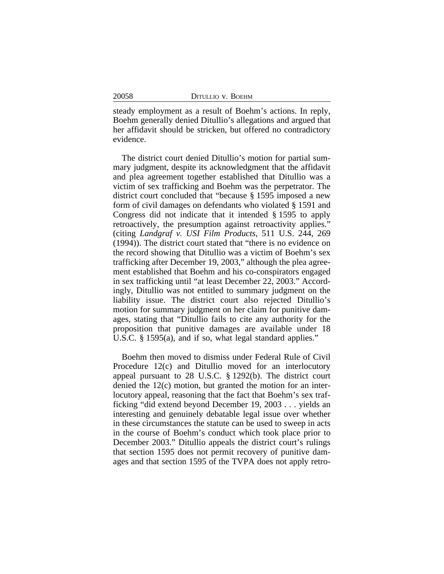| 20058<br>DITULLIO V. BOEHM |  |
|----------------------------|--|
|----------------------------|--|

steady employment as a result of Boehm's actions. In reply, Boehm generally denied Ditullio's allegations and argued that her affidavit should be stricken, but offered no contradictory evidence.

The district court denied Ditullio's motion for partial summary judgment, despite its acknowledgment that the affidavit and plea agreement together established that Ditullio was a victim of sex trafficking and Boehm was the perpetrator. The district court concluded that "because § 1595 imposed a new form of civil damages on defendants who violated § 1591 and Congress did not indicate that it intended § 1595 to apply retroactively, the presumption against retroactivity applies." (citing *Landgraf v. USI Film Products*, 511 U.S. 244, 269 (1994)). The district court stated that "there is no evidence on the record showing that Ditullio was a victim of Boehm's sex trafficking after December 19, 2003," although the plea agreement established that Boehm and his co-conspirators engaged in sex trafficking until "at least December 22, 2003." Accordingly, Ditullio was not entitled to summary judgment on the liability issue. The district court also rejected Ditullio's motion for summary judgment on her claim for punitive damages, stating that "Ditullio fails to cite any authority for the proposition that punitive damages are available under 18 U.S.C. § 1595(a), and if so, what legal standard applies."

Boehm then moved to dismiss under Federal Rule of Civil Procedure 12(c) and Ditullio moved for an interlocutory appeal pursuant to 28 U.S.C. § 1292(b). The district court denied the 12(c) motion, but granted the motion for an interlocutory appeal, reasoning that the fact that Boehm's sex trafficking "did extend beyond December 19, 2003 . . . yields an interesting and genuinely debatable legal issue over whether in these circumstances the statute can be used to sweep in acts in the course of Boehm's conduct which took place prior to December 2003." Ditullio appeals the district court's rulings that section 1595 does not permit recovery of punitive damages and that section 1595 of the TVPA does not apply retro-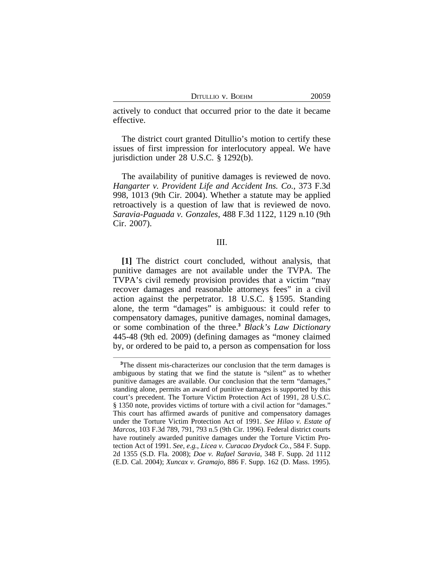| DITULLIO V. BOEHM |  |  |
|-------------------|--|--|
|-------------------|--|--|

actively to conduct that occurred prior to the date it became effective.

The district court granted Ditullio's motion to certify these issues of first impression for interlocutory appeal. We have jurisdiction under 28 U.S.C. § 1292(b).

The availability of punitive damages is reviewed de novo. *Hangarter v. Provident Life and Accident Ins. Co.*, 373 F.3d 998, 1013 (9th Cir. 2004). Whether a statute may be applied retroactively is a question of law that is reviewed de novo. *Saravia-Paguada v. Gonzales*, 488 F.3d 1122, 1129 n.10 (9th Cir. 2007).

#### III.

**[1]** The district court concluded, without analysis, that punitive damages are not available under the TVPA. The TVPA's civil remedy provision provides that a victim "may recover damages and reasonable attorneys fees" in a civil action against the perpetrator. 18 U.S.C. § 1595. Standing alone, the term "damages" is ambiguous: it could refer to compensatory damages, punitive damages, nominal damages, or some combination of the three.**<sup>3</sup>** *Black's Law Dictionary* 445-48 (9th ed. 2009) (defining damages as "money claimed by, or ordered to be paid to, a person as compensation for loss

<sup>&</sup>lt;sup>3</sup>The dissent mis-characterizes our conclusion that the term damages is ambiguous by stating that we find the statute is "silent" as to whether punitive damages are available. Our conclusion that the term "damages," standing alone, permits an award of punitive damages is supported by this court's precedent. The Torture Victim Protection Act of 1991, 28 U.S.C. § 1350 note, provides victims of torture with a civil action for "damages." This court has affirmed awards of punitive and compensatory damages under the Torture Victim Protection Act of 1991. *See Hilao v. Estate of Marcos*, 103 F.3d 789, 791, 793 n.5 (9th Cir. 1996). Federal district courts have routinely awarded punitive damages under the Torture Victim Protection Act of 1991. *See, e.g.*, *Licea v. Curacao Drydock Co.*, 584 F. Supp. 2d 1355 (S.D. Fla. 2008); *Doe v. Rafael Saravia*, 348 F. Supp. 2d 1112 (E.D. Cal. 2004); *Xuncax v. Gramajo*, 886 F. Supp. 162 (D. Mass. 1995).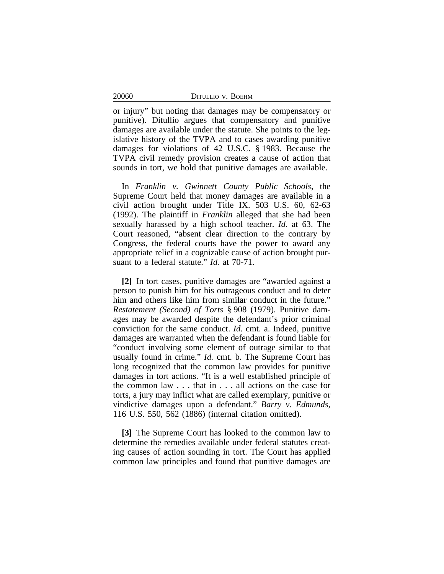| DITULLIO V. BOEHM |  |  |
|-------------------|--|--|
|-------------------|--|--|

or injury" but noting that damages may be compensatory or punitive). Ditullio argues that compensatory and punitive damages are available under the statute. She points to the legislative history of the TVPA and to cases awarding punitive damages for violations of 42 U.S.C. § 1983. Because the TVPA civil remedy provision creates a cause of action that sounds in tort, we hold that punitive damages are available.

In *Franklin v. Gwinnett County Public Schools*, the Supreme Court held that money damages are available in a civil action brought under Title IX. 503 U.S. 60, 62-63 (1992). The plaintiff in *Franklin* alleged that she had been sexually harassed by a high school teacher. *Id.* at 63. The Court reasoned, "absent clear direction to the contrary by Congress, the federal courts have the power to award any appropriate relief in a cognizable cause of action brought pursuant to a federal statute." *Id.* at 70-71.

**[2]** In tort cases, punitive damages are "awarded against a person to punish him for his outrageous conduct and to deter him and others like him from similar conduct in the future." *Restatement (Second) of Torts* § 908 (1979). Punitive damages may be awarded despite the defendant's prior criminal conviction for the same conduct. *Id.* cmt. a. Indeed, punitive damages are warranted when the defendant is found liable for "conduct involving some element of outrage similar to that usually found in crime." *Id.* cmt. b. The Supreme Court has long recognized that the common law provides for punitive damages in tort actions. "It is a well established principle of the common law . . . that in . . . all actions on the case for torts, a jury may inflict what are called exemplary, punitive or vindictive damages upon a defendant." *Barry v. Edmunds*, 116 U.S. 550, 562 (1886) (internal citation omitted).

**[3]** The Supreme Court has looked to the common law to determine the remedies available under federal statutes creating causes of action sounding in tort. The Court has applied common law principles and found that punitive damages are

20060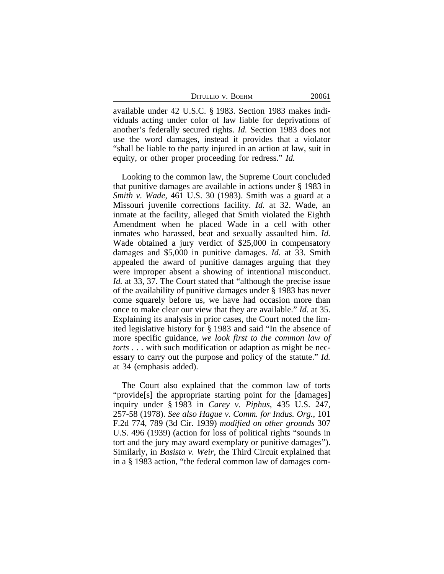| DITULLIO V. BOEHM | 20061 |
|-------------------|-------|
|-------------------|-------|

available under 42 U.S.C. § 1983. Section 1983 makes individuals acting under color of law liable for deprivations of another's federally secured rights. *Id.* Section 1983 does not use the word damages, instead it provides that a violator "shall be liable to the party injured in an action at law, suit in equity, or other proper proceeding for redress." *Id.*

Looking to the common law, the Supreme Court concluded that punitive damages are available in actions under § 1983 in *Smith v. Wade*, 461 U.S. 30 (1983). Smith was a guard at a Missouri juvenile corrections facility. *Id.* at 32. Wade, an inmate at the facility, alleged that Smith violated the Eighth Amendment when he placed Wade in a cell with other inmates who harassed, beat and sexually assaulted him. *Id.* Wade obtained a jury verdict of \$25,000 in compensatory damages and \$5,000 in punitive damages. *Id.* at 33. Smith appealed the award of punitive damages arguing that they were improper absent a showing of intentional misconduct. *Id.* at 33, 37. The Court stated that "although the precise issue of the availability of punitive damages under § 1983 has never come squarely before us, we have had occasion more than once to make clear our view that they are available." *Id.* at 35. Explaining its analysis in prior cases, the Court noted the limited legislative history for § 1983 and said "In the absence of more specific guidance, *we look first to the common law of torts* . . . with such modification or adaption as might be necessary to carry out the purpose and policy of the statute." *Id.* at 34 (emphasis added).

The Court also explained that the common law of torts "provide[s] the appropriate starting point for the [damages] inquiry under § 1983 in *Carey v. Piphus*, 435 U.S. 247, 257-58 (1978). *See also Hague v. Comm. for Indus. Org.*, 101 F.2d 774, 789 (3d Cir. 1939) *modified on other grounds* 307 U.S. 496 (1939) (action for loss of political rights "sounds in tort and the jury may award exemplary or punitive damages"). Similarly, in *Basista v. Weir*, the Third Circuit explained that in a § 1983 action, "the federal common law of damages com-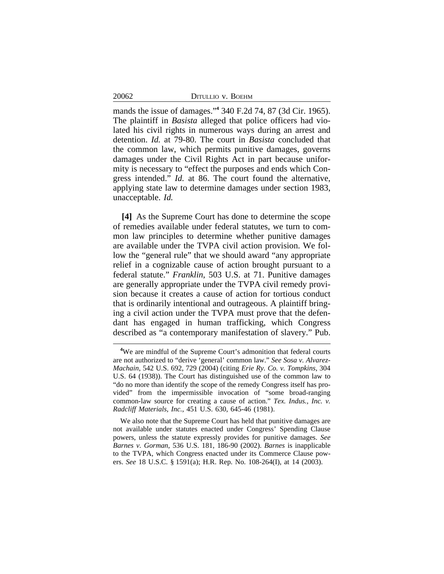| DITULLIO V. BOEHM |  |  |  |
|-------------------|--|--|--|
|-------------------|--|--|--|

20062

mands the issue of damages." **4** 340 F.2d 74, 87 (3d Cir. 1965). The plaintiff in *Basista* alleged that police officers had violated his civil rights in numerous ways during an arrest and detention. *Id.* at 79-80. The court in *Basista* concluded that the common law, which permits punitive damages, governs damages under the Civil Rights Act in part because uniformity is necessary to "effect the purposes and ends which Congress intended." *Id.* at 86. The court found the alternative, applying state law to determine damages under section 1983, unacceptable. *Id.*

**[4]** As the Supreme Court has done to determine the scope of remedies available under federal statutes, we turn to common law principles to determine whether punitive damages are available under the TVPA civil action provision. We follow the "general rule" that we should award "any appropriate relief in a cognizable cause of action brought pursuant to a federal statute." *Franklin*, 503 U.S. at 71. Punitive damages are generally appropriate under the TVPA civil remedy provision because it creates a cause of action for tortious conduct that is ordinarily intentional and outrageous. A plaintiff bringing a civil action under the TVPA must prove that the defendant has engaged in human trafficking, which Congress described as "a contemporary manifestation of slavery." Pub.

**<sup>4</sup>**We are mindful of the Supreme Court's admonition that federal courts are not authorized to "derive 'general' common law." *See Sosa v. Alvarez-Machain*, 542 U.S. 692, 729 (2004) (citing *Erie Ry. Co. v. Tompkins*, 304 U.S. 64 (1938)). The Court has distinguished use of the common law to "do no more than identify the scope of the remedy Congress itself has provided" from the impermissible invocation of "some broad-ranging common-law source for creating a cause of action." *Tex. Indus., Inc. v. Radcliff Materials, Inc.*, 451 U.S. 630, 645-46 (1981).

We also note that the Supreme Court has held that punitive damages are not available under statutes enacted under Congress' Spending Clause powers, unless the statute expressly provides for punitive damages. *See Barnes v. Gorman*, 536 U.S. 181, 186-90 (2002). *Barnes* is inapplicable to the TVPA, which Congress enacted under its Commerce Clause powers. *See* 18 U.S.C. § 1591(a); H.R. Rep. No. 108-264(I), at 14 (2003).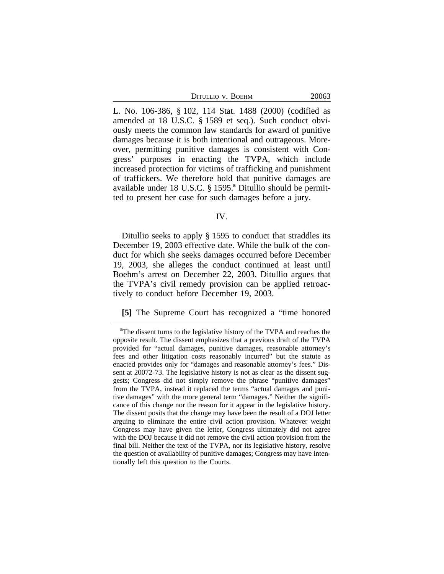| DITULLIO V. BOEHM | 20063 |
|-------------------|-------|
|-------------------|-------|

L. No. 106-386, § 102, 114 Stat. 1488 (2000) (codified as amended at 18 U.S.C. § 1589 et seq.). Such conduct obviously meets the common law standards for award of punitive damages because it is both intentional and outrageous. Moreover, permitting punitive damages is consistent with Congress' purposes in enacting the TVPA, which include increased protection for victims of trafficking and punishment of traffickers. We therefore hold that punitive damages are available under 18 U.S.C. § 1595.**<sup>5</sup>** Ditullio should be permitted to present her case for such damages before a jury.

IV.

Ditullio seeks to apply § 1595 to conduct that straddles its December 19, 2003 effective date. While the bulk of the conduct for which she seeks damages occurred before December 19, 2003, she alleges the conduct continued at least until Boehm's arrest on December 22, 2003. Ditullio argues that the TVPA's civil remedy provision can be applied retroactively to conduct before December 19, 2003.

#### **[5]** The Supreme Court has recognized a "time honored

**<sup>5</sup>**The dissent turns to the legislative history of the TVPA and reaches the opposite result. The dissent emphasizes that a previous draft of the TVPA provided for "actual damages, punitive damages, reasonable attorney's fees and other litigation costs reasonably incurred" but the statute as enacted provides only for "damages and reasonable attorney's fees." Dissent at 20072-73. The legislative history is not as clear as the dissent suggests; Congress did not simply remove the phrase "punitive damages" from the TVPA, instead it replaced the terms "actual damages and punitive damages" with the more general term "damages." Neither the significance of this change nor the reason for it appear in the legislative history. The dissent posits that the change may have been the result of a DOJ letter arguing to eliminate the entire civil action provision. Whatever weight Congress may have given the letter, Congress ultimately did not agree with the DOJ because it did not remove the civil action provision from the final bill. Neither the text of the TVPA, nor its legislative history, resolve the question of availability of punitive damages; Congress may have intentionally left this question to the Courts.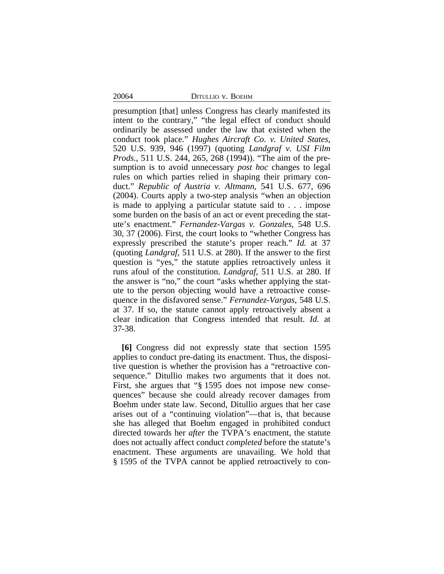20064 DITULLIO V. BOEHM

presumption [that] unless Congress has clearly manifested its intent to the contrary," "the legal effect of conduct should ordinarily be assessed under the law that existed when the conduct took place." *Hughes Aircraft Co. v. United States*, 520 U.S. 939, 946 (1997) (quoting *Landgraf v. USI Film Prods.*, 511 U.S. 244, 265, 268 (1994)). "The aim of the presumption is to avoid unnecessary *post hoc* changes to legal rules on which parties relied in shaping their primary conduct." *Republic of Austria v. Altmann*, 541 U.S. 677, 696 (2004). Courts apply a two-step analysis "when an objection is made to applying a particular statute said to . . . impose some burden on the basis of an act or event preceding the statute's enactment." *Fernandez-Vargas v. Gonzales,* 548 U.S. 30, 37 (2006). First, the court looks to "whether Congress has expressly prescribed the statute's proper reach." *Id.* at 37 (quoting *Landgraf*, 511 U.S. at 280). If the answer to the first question is "yes," the statute applies retroactively unless it runs afoul of the constitution. *Landgraf*, 511 U.S. at 280. If the answer is "no," the court "asks whether applying the statute to the person objecting would have a retroactive consequence in the disfavored sense." *Fernandez-Vargas*, 548 U.S. at 37. If so, the statute cannot apply retroactively absent a clear indication that Congress intended that result. *Id.* at 37-38.

**[6]** Congress did not expressly state that section 1595 applies to conduct pre-dating its enactment. Thus, the dispositive question is whether the provision has a "retroactive consequence." Ditullio makes two arguments that it does not. First, she argues that "§ 1595 does not impose new consequences" because she could already recover damages from Boehm under state law. Second, Ditullio argues that her case arises out of a "continuing violation"—that is, that because she has alleged that Boehm engaged in prohibited conduct directed towards her *after* the TVPA's enactment, the statute does not actually affect conduct *completed* before the statute's enactment. These arguments are unavailing. We hold that § 1595 of the TVPA cannot be applied retroactively to con-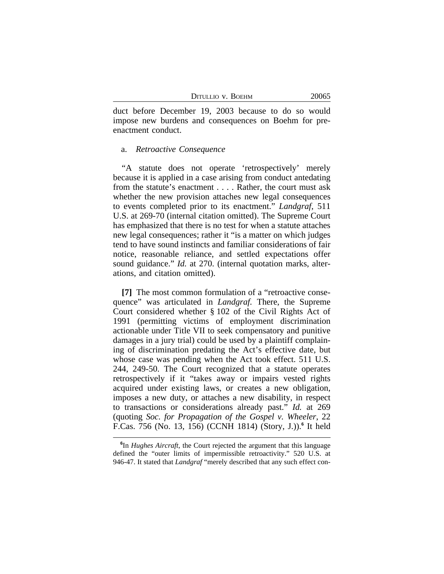duct before December 19, 2003 because to do so would impose new burdens and consequences on Boehm for preenactment conduct.

## a. *Retroactive Consequence*

"A statute does not operate 'retrospectively' merely because it is applied in a case arising from conduct antedating from the statute's enactment . . . . Rather, the court must ask whether the new provision attaches new legal consequences to events completed prior to its enactment." *Landgraf*, 511 U.S. at 269-70 (internal citation omitted). The Supreme Court has emphasized that there is no test for when a statute attaches new legal consequences; rather it "is a matter on which judges tend to have sound instincts and familiar considerations of fair notice, reasonable reliance, and settled expectations offer sound guidance." *Id.* at 270. (internal quotation marks, alterations, and citation omitted).

**[7]** The most common formulation of a "retroactive consequence" was articulated in *Landgraf.* There, the Supreme Court considered whether § 102 of the Civil Rights Act of 1991 (permitting victims of employment discrimination actionable under Title VII to seek compensatory and punitive damages in a jury trial) could be used by a plaintiff complaining of discrimination predating the Act's effective date, but whose case was pending when the Act took effect. 511 U.S. 244, 249-50. The Court recognized that a statute operates retrospectively if it "takes away or impairs vested rights acquired under existing laws, or creates a new obligation, imposes a new duty, or attaches a new disability, in respect to transactions or considerations already past." *Id.* at 269 (quoting *Soc. for Propagation of the Gospel v. Wheeler*, 22 F.Cas. 756 (No. 13, 156) (CCNH 1814) (Story, J.)).**<sup>6</sup>** It held

**<sup>6</sup>** In *Hughes Aircraft*, the Court rejected the argument that this language defined the "outer limits of impermissible retroactivity." 520 U.S. at 946-47. It stated that *Landgraf* "merely described that any such effect con-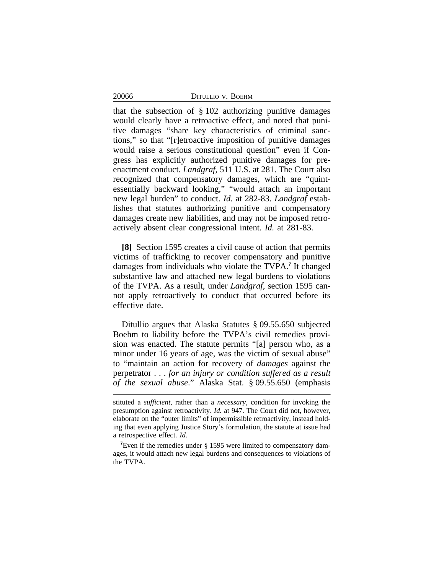| DITULLIO V. BOEHM |  |  |
|-------------------|--|--|
|-------------------|--|--|

20066

that the subsection of § 102 authorizing punitive damages would clearly have a retroactive effect, and noted that punitive damages "share key characteristics of criminal sanctions," so that "[r]etroactive imposition of punitive damages would raise a serious constitutional question" even if Congress has explicitly authorized punitive damages for preenactment conduct. *Landgraf*, 511 U.S. at 281. The Court also recognized that compensatory damages, which are "quintessentially backward looking," "would attach an important new legal burden" to conduct. *Id.* at 282-83. *Landgraf* establishes that statutes authorizing punitive and compensatory damages create new liabilities, and may not be imposed retroactively absent clear congressional intent. *Id.* at 281-83.

**[8]** Section 1595 creates a civil cause of action that permits victims of trafficking to recover compensatory and punitive damages from individuals who violate the TVPA.**<sup>7</sup>** It changed substantive law and attached new legal burdens to violations of the TVPA. As a result, under *Landgraf*, section 1595 cannot apply retroactively to conduct that occurred before its effective date.

Ditullio argues that Alaska Statutes § 09.55.650 subjected Boehm to liability before the TVPA's civil remedies provision was enacted. The statute permits "[a] person who, as a minor under 16 years of age, was the victim of sexual abuse" to "maintain an action for recovery of *damages* against the perpetrator . . . *for an injury or condition suffered as a result of the sexual abuse*." Alaska Stat. § 09.55.650 (emphasis

stituted a *sufficient*, rather than a *necessary*, condition for invoking the presumption against retroactivity. *Id.* at 947. The Court did not, however, elaborate on the "outer limits" of impermissible retroactivity, instead holding that even applying Justice Story's formulation, the statute at issue had a retrospective effect. *Id.*

<sup>&</sup>lt;sup>7</sup>Even if the remedies under § 1595 were limited to compensatory damages, it would attach new legal burdens and consequences to violations of the TVPA.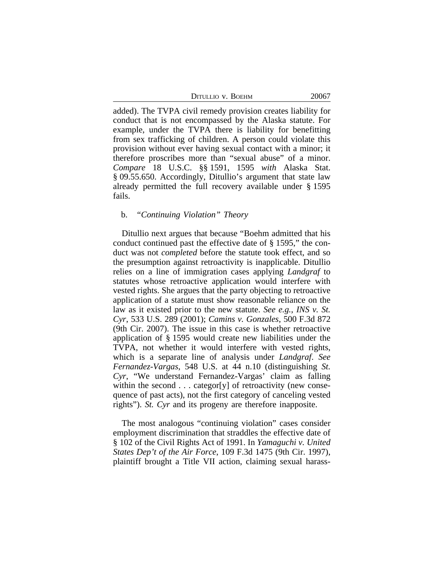| DITULLIO V. BOEHM | 20067 |
|-------------------|-------|
|-------------------|-------|

added). The TVPA civil remedy provision creates liability for conduct that is not encompassed by the Alaska statute. For example, under the TVPA there is liability for benefitting from sex trafficking of children. A person could violate this provision without ever having sexual contact with a minor; it therefore proscribes more than "sexual abuse" of a minor. *Compare* 18 U.S.C. §§ 1591, 1595 *with* Alaska Stat. § 09.55.650. Accordingly, Ditullio's argument that state law already permitted the full recovery available under § 1595 fails.

# b. *"Continuing Violation" Theory*

Ditullio next argues that because "Boehm admitted that his conduct continued past the effective date of § 1595," the conduct was not *completed* before the statute took effect, and so the presumption against retroactivity is inapplicable. Ditullio relies on a line of immigration cases applying *Landgraf* to statutes whose retroactive application would interfere with vested rights. She argues that the party objecting to retroactive application of a statute must show reasonable reliance on the law as it existed prior to the new statute. *See e.g.*, *INS v. St. Cyr*, 533 U.S. 289 (2001); *Camins v. Gonzales*, 500 F.3d 872 (9th Cir. 2007). The issue in this case is whether retroactive application of § 1595 would create new liabilities under the TVPA, not whether it would interfere with vested rights, which is a separate line of analysis under *Landgraf*. *See Fernandez-Vargas*, 548 U.S. at 44 n.10 (distinguishing *St. Cyr*, "We understand Fernandez-Vargas' claim as falling within the second . . . categor [y] of retroactivity (new consequence of past acts), not the first category of canceling vested rights"). *St. Cyr* and its progeny are therefore inapposite.

The most analogous "continuing violation" cases consider employment discrimination that straddles the effective date of § 102 of the Civil Rights Act of 1991. In *Yamaguchi v. United States Dep't of the Air Force*, 109 F.3d 1475 (9th Cir. 1997), plaintiff brought a Title VII action, claiming sexual harass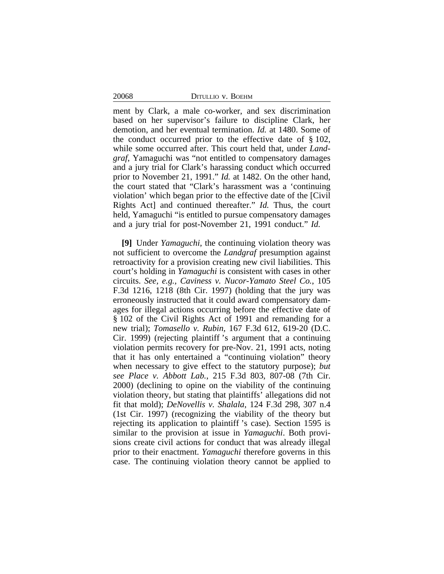20068 DITULLIO v. BOEHM

ment by Clark, a male co-worker, and sex discrimination based on her supervisor's failure to discipline Clark, her demotion, and her eventual termination. *Id.* at 1480. Some of the conduct occurred prior to the effective date of § 102, while some occurred after. This court held that, under *Landgraf*, Yamaguchi was "not entitled to compensatory damages and a jury trial for Clark's harassing conduct which occurred prior to November 21, 1991." *Id.* at 1482. On the other hand, the court stated that "Clark's harassment was a 'continuing violation' which began prior to the effective date of the [Civil Rights Act] and continued thereafter." *Id.* Thus, the court held, Yamaguchi "is entitled to pursue compensatory damages and a jury trial for post-November 21, 1991 conduct." *Id.*

**[9]** Under *Yamaguchi*, the continuing violation theory was not sufficient to overcome the *Landgraf* presumption against retroactivity for a provision creating new civil liabilities. This court's holding in *Yamaguchi* is consistent with cases in other circuits. *See, e.g., Caviness v. Nucor-Yamato Steel Co.*, 105 F.3d 1216, 1218 (8th Cir. 1997) (holding that the jury was erroneously instructed that it could award compensatory damages for illegal actions occurring before the effective date of § 102 of the Civil Rights Act of 1991 and remanding for a new trial); *Tomasello v. Rubin,* 167 F.3d 612, 619-20 (D.C. Cir. 1999) (rejecting plaintiff 's argument that a continuing violation permits recovery for pre-Nov. 21, 1991 acts, noting that it has only entertained a "continuing violation" theory when necessary to give effect to the statutory purpose); *but see Place v. Abbott Lab.*, 215 F.3d 803, 807-08 (7th Cir. 2000) (declining to opine on the viability of the continuing violation theory, but stating that plaintiffs' allegations did not fit that mold); *DeNovellis v. Shalala*, 124 F.3d 298, 307 n.4 (1st Cir. 1997) (recognizing the viability of the theory but rejecting its application to plaintiff 's case). Section 1595 is similar to the provision at issue in *Yamaguchi*. Both provisions create civil actions for conduct that was already illegal prior to their enactment. *Yamaguchi* therefore governs in this case. The continuing violation theory cannot be applied to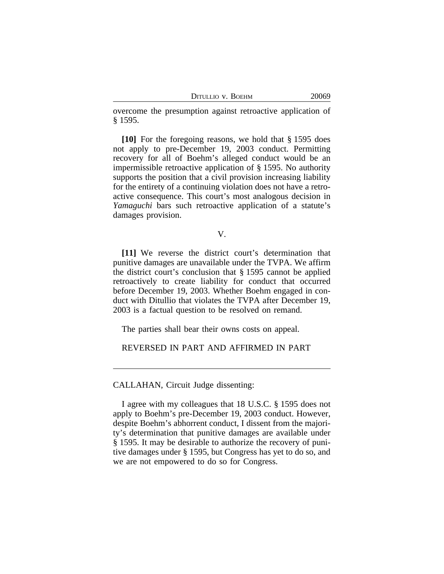DITULLIO V. BOEHM 20069

overcome the presumption against retroactive application of § 1595.

**[10]** For the foregoing reasons, we hold that § 1595 does not apply to pre-December 19, 2003 conduct. Permitting recovery for all of Boehm's alleged conduct would be an impermissible retroactive application of § 1595. No authority supports the position that a civil provision increasing liability for the entirety of a continuing violation does not have a retroactive consequence. This court's most analogous decision in *Yamaguchi* bars such retroactive application of a statute's damages provision.

V.

**[11]** We reverse the district court's determination that punitive damages are unavailable under the TVPA. We affirm the district court's conclusion that § 1595 cannot be applied retroactively to create liability for conduct that occurred before December 19, 2003. Whether Boehm engaged in conduct with Ditullio that violates the TVPA after December 19, 2003 is a factual question to be resolved on remand.

The parties shall bear their owns costs on appeal.

REVERSED IN PART AND AFFIRMED IN PART

CALLAHAN, Circuit Judge dissenting:

I agree with my colleagues that 18 U.S.C. § 1595 does not apply to Boehm's pre-December 19, 2003 conduct. However, despite Boehm's abhorrent conduct, I dissent from the majority's determination that punitive damages are available under § 1595. It may be desirable to authorize the recovery of punitive damages under § 1595, but Congress has yet to do so, and we are not empowered to do so for Congress.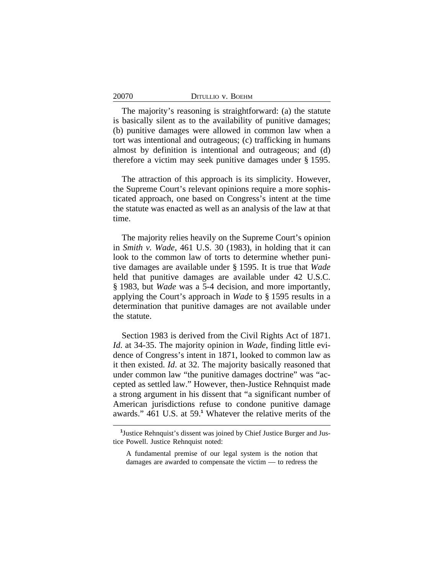20070

The majority's reasoning is straightforward: (a) the statute is basically silent as to the availability of punitive damages; (b) punitive damages were allowed in common law when a tort was intentional and outrageous; (c) trafficking in humans almost by definition is intentional and outrageous; and (d) therefore a victim may seek punitive damages under § 1595.

The attraction of this approach is its simplicity. However, the Supreme Court's relevant opinions require a more sophisticated approach, one based on Congress's intent at the time the statute was enacted as well as an analysis of the law at that time.

The majority relies heavily on the Supreme Court's opinion in *Smith v. Wade*, 461 U.S. 30 (1983), in holding that it can look to the common law of torts to determine whether punitive damages are available under § 1595. It is true that *Wade* held that punitive damages are available under 42 U.S.C. § 1983, but *Wade* was a 5-4 decision, and more importantly, applying the Court's approach in *Wade* to § 1595 results in a determination that punitive damages are not available under the statute.

Section 1983 is derived from the Civil Rights Act of 1871. *Id*. at 34-35. The majority opinion in *Wade*, finding little evidence of Congress's intent in 1871, looked to common law as it then existed. *Id*. at 32. The majority basically reasoned that under common law "the punitive damages doctrine" was "accepted as settled law." However, then-Justice Rehnquist made a strong argument in his dissent that "a significant number of American jurisdictions refuse to condone punitive damage awards." 461 U.S. at 59.**<sup>1</sup>** Whatever the relative merits of the

<sup>&</sup>lt;sup>1</sup>Justice Rehnquist's dissent was joined by Chief Justice Burger and Justice Powell. Justice Rehnquist noted:

A fundamental premise of our legal system is the notion that damages are awarded to compensate the victim — to redress the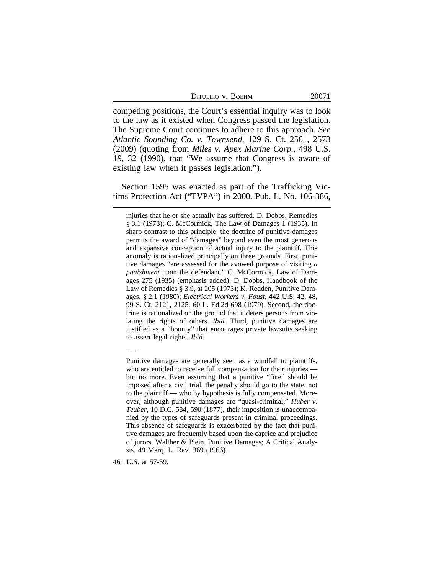| DITULLIO V. BOEHM |  |  |
|-------------------|--|--|
|-------------------|--|--|

competing positions, the Court's essential inquiry was to look to the law as it existed when Congress passed the legislation. The Supreme Court continues to adhere to this approach. *See Atlantic Sounding Co. v. Townsend*, 129 S. Ct. 2561, 2573 (2009) (quoting from *Miles v. Apex Marine Corp.*, 498 U.S. 19, 32 (1990), that "We assume that Congress is aware of existing law when it passes legislation.").

Section 1595 was enacted as part of the Trafficking Victims Protection Act ("TVPA") in 2000. Pub. L. No. 106-386,

. . . .

Punitive damages are generally seen as a windfall to plaintiffs, who are entitled to receive full compensation for their injuries but no more. Even assuming that a punitive "fine" should be imposed after a civil trial, the penalty should go to the state, not to the plaintiff — who by hypothesis is fully compensated. Moreover, although punitive damages are "quasi-criminal," *Huber v. Teuber*, 10 D.C. 584, 590 (1877), their imposition is unaccompanied by the types of safeguards present in criminal proceedings. This absence of safeguards is exacerbated by the fact that punitive damages are frequently based upon the caprice and prejudice of jurors. Walther & Plein, Punitive Damages; A Critical Analysis, 49 Marq. L. Rev. 369 (1966).

461 U.S. at 57-59.

injuries that he or she actually has suffered. D. Dobbs, Remedies § 3.1 (1973); C. McCormick, The Law of Damages 1 (1935). In sharp contrast to this principle, the doctrine of punitive damages permits the award of "damages" beyond even the most generous and expansive conception of actual injury to the plaintiff. This anomaly is rationalized principally on three grounds. First, punitive damages "are assessed for the avowed purpose of visiting *a punishment* upon the defendant." C. McCormick, Law of Damages 275 (1935) (emphasis added); D. Dobbs, Handbook of the Law of Remedies § 3.9, at 205 (1973); K. Redden, Punitive Damages, § 2.1 (1980); *Electrical Workers v. Foust*, 442 U.S. 42, 48, 99 S. Ct. 2121, 2125, 60 L. Ed.2d 698 (1979). Second, the doctrine is rationalized on the ground that it deters persons from violating the rights of others. *Ibid*. Third, punitive damages are justified as a "bounty" that encourages private lawsuits seeking to assert legal rights. *Ibid*.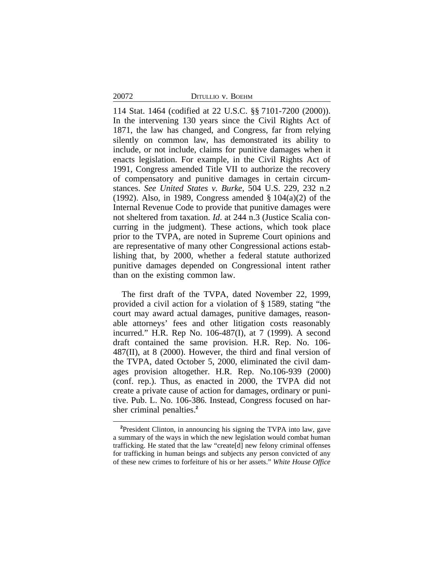20072 DITULLIO v. BOEHM

114 Stat. 1464 (codified at 22 U.S.C. §§ 7101-7200 (2000)). In the intervening 130 years since the Civil Rights Act of 1871, the law has changed, and Congress, far from relying silently on common law, has demonstrated its ability to include, or not include, claims for punitive damages when it enacts legislation. For example, in the Civil Rights Act of 1991, Congress amended Title VII to authorize the recovery of compensatory and punitive damages in certain circumstances. *See United States v. Burke*, 504 U.S. 229, 232 n.2 (1992). Also, in 1989, Congress amended § 104(a)(2) of the Internal Revenue Code to provide that punitive damages were not sheltered from taxation. *Id*. at 244 n.3 (Justice Scalia concurring in the judgment). These actions, which took place prior to the TVPA, are noted in Supreme Court opinions and are representative of many other Congressional actions establishing that, by 2000, whether a federal statute authorized punitive damages depended on Congressional intent rather than on the existing common law.

The first draft of the TVPA, dated November 22, 1999, provided a civil action for a violation of § 1589, stating "the court may award actual damages, punitive damages, reasonable attorneys' fees and other litigation costs reasonably incurred." H.R. Rep No. 106-487(I), at 7 (1999). A second draft contained the same provision. H.R. Rep. No. 106- 487(II), at 8 (2000). However, the third and final version of the TVPA, dated October 5, 2000, eliminated the civil damages provision altogether. H.R. Rep. No.106-939 (2000) (conf. rep.). Thus, as enacted in 2000, the TVPA did not create a private cause of action for damages, ordinary or punitive. Pub. L. No. 106-386. Instead, Congress focused on harsher criminal penalties.**<sup>2</sup>**

**<sup>2</sup>**President Clinton, in announcing his signing the TVPA into law, gave a summary of the ways in which the new legislation would combat human trafficking. He stated that the law "create[d] new felony criminal offenses for trafficking in human beings and subjects any person convicted of any of these new crimes to forfeiture of his or her assets." *White House Office*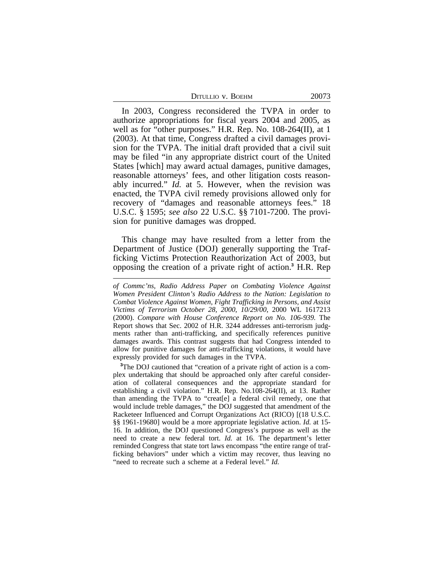| DITULLIO V. BOEHM | 20073 |
|-------------------|-------|
|-------------------|-------|

In 2003, Congress reconsidered the TVPA in order to authorize appropriations for fiscal years 2004 and 2005, as well as for "other purposes." H.R. Rep. No. 108-264(II), at 1 (2003). At that time, Congress drafted a civil damages provision for the TVPA. The initial draft provided that a civil suit may be filed "in any appropriate district court of the United States [which] may award actual damages, punitive damages, reasonable attorneys' fees, and other litigation costs reasonably incurred." *Id.* at 5. However, when the revision was enacted, the TVPA civil remedy provisions allowed only for recovery of "damages and reasonable attorneys fees." 18 U.S.C. § 1595; *see also* 22 U.S.C. §§ 7101-7200. The provision for punitive damages was dropped.

This change may have resulted from a letter from the Department of Justice (DOJ) generally supporting the Trafficking Victims Protection Reauthorization Act of 2003, but opposing the creation of a private right of action.**<sup>3</sup>** H.R. Rep

**<sup>3</sup>**The DOJ cautioned that "creation of a private right of action is a complex undertaking that should be approached only after careful consideration of collateral consequences and the appropriate standard for establishing a civil violation." H.R. Rep. No.108-264(II), at 13. Rather than amending the TVPA to "creat[e] a federal civil remedy, one that would include treble damages," the DOJ suggested that amendment of the Racketeer Influenced and Corrupt Organizations Act (RICO) [(18 U.S.C. §§ 1961-19680] would be a more appropriate legislative action. *Id.* at 15- 16. In addition, the DOJ questioned Congress's purpose as well as the need to create a new federal tort. *Id.* at 16. The department's letter reminded Congress that state tort laws encompass "the entire range of trafficking behaviors" under which a victim may recover, thus leaving no "need to recreate such a scheme at a Federal level." *Id.* 

*of Commc'ns, Radio Address Paper on Combating Violence Against Women President Clinton's Radio Address to the Nation: Legislation to Combat Violence Against Women, Fight Trafficking in Persons, and Assist Victims of Terrorism October 28, 2000*, *10/29/00*, 2000 WL 1617213 (2000). *Compare with House Conference Report on No. 106-939.* The Report shows that Sec. 2002 of H.R. 3244 addresses anti-terrorism judgments rather than anti-trafficking, and specifically references punitive damages awards. This contrast suggests that had Congress intended to allow for punitive damages for anti-trafficking violations, it would have expressly provided for such damages in the TVPA.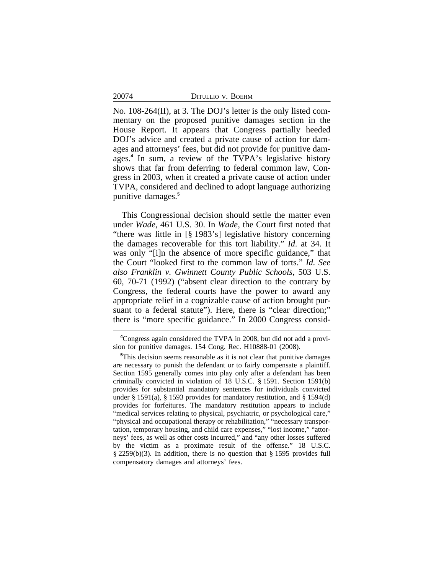20074

No. 108-264(II), at 3. The DOJ's letter is the only listed commentary on the proposed punitive damages section in the House Report. It appears that Congress partially heeded DOJ's advice and created a private cause of action for damages and attorneys' fees, but did not provide for punitive damages.**<sup>4</sup>** In sum, a review of the TVPA's legislative history shows that far from deferring to federal common law, Congress in 2003, when it created a private cause of action under TVPA, considered and declined to adopt language authorizing punitive damages.**<sup>5</sup>**

This Congressional decision should settle the matter even under *Wade*, 461 U.S. 30. In *Wade*, the Court first noted that "there was little in [§ 1983's] legislative history concerning the damages recoverable for this tort liability." *Id*. at 34. It was only "[i]n the absence of more specific guidance," that the Court "looked first to the common law of torts." *Id. See also Franklin v. Gwinnett County Public Schools*, 503 U.S. 60, 70-71 (1992) ("absent clear direction to the contrary by Congress, the federal courts have the power to award any appropriate relief in a cognizable cause of action brought pursuant to a federal statute"). Here, there is "clear direction;" there is "more specific guidance." In 2000 Congress consid-

**<sup>4</sup>**Congress again considered the TVPA in 2008, but did not add a provision for punitive damages. 154 Cong. Rec. H10888-01 (2008).

**<sup>5</sup>**This decision seems reasonable as it is not clear that punitive damages are necessary to punish the defendant or to fairly compensate a plaintiff. Section 1595 generally comes into play only after a defendant has been criminally convicted in violation of 18 U.S.C. § 1591. Section 1591(b) provides for substantial mandatory sentences for individuals convicted under § 1591(a), § 1593 provides for mandatory restitution, and § 1594(d) provides for forfeitures. The mandatory restitution appears to include "medical services relating to physical, psychiatric, or psychological care," "physical and occupational therapy or rehabilitation," "necessary transportation, temporary housing, and child care expenses," "lost income," "attorneys' fees, as well as other costs incurred," and "any other losses suffered by the victim as a proximate result of the offense." 18 U.S.C. § 2259(b)(3). In addition, there is no question that § 1595 provides full compensatory damages and attorneys' fees.